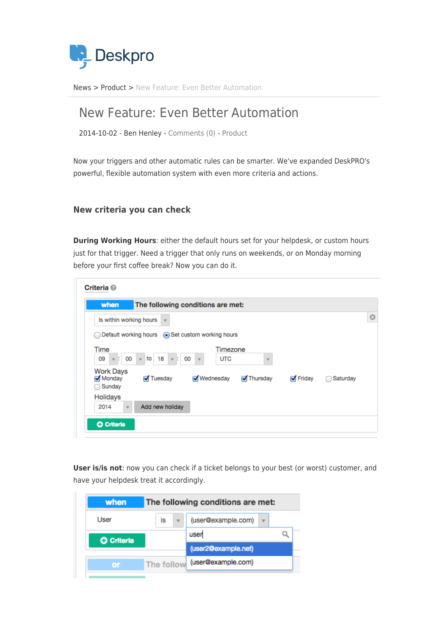

[News](https://support.deskpro.com/sr/news) > [Product](https://support.deskpro.com/sr/news/product) > [New Feature: Even Better Automation](https://support.deskpro.com/sr/news/posts/new-feature-even-better-automation)

## New Feature: Even Better Automation

2014-10-02 - Ben Henley - [Comments \(0\)](#page--1-0) - [Product](https://support.deskpro.com/sr/news/product)

Now your triggers and other automatic rules can be smarter. We've expanded DeskPRO's powerful, flexible automation system with even more criteria and actions.

## **New criteria you can check**

**During Working Hours**: either the default hours set for your helpdesk, or custom hours just for that trigger. Need a trigger that only runs on weekends, or on Monday morning before your first coffee break? Now you can do it.

| when                                         | The following conditions are met:                |                                              |                         |                  |          |
|----------------------------------------------|--------------------------------------------------|----------------------------------------------|-------------------------|------------------|----------|
| Is within working hours                      |                                                  |                                              |                         |                  |          |
|                                              | Default working hours . Set custom working hours |                                              |                         |                  |          |
| Time<br>00<br>09<br>ŀ.<br>$\mathbf{v}$       | 18<br>l to<br>÷.<br>$\mathbf{v}$<br>$\mathbf{v}$ | Timezone<br>00<br><b>UTC</b><br>$\mathbf{v}$ | $\overline{\mathbf{v}}$ |                  |          |
| <b>Work Days</b><br>Monday<br><b>Sunday</b>  | √ Tuesday                                        | Wednesday                                    | Thursday                | $\sqrt{}$ Friday | Saturday |
| Holidays<br>2014<br>$\overline{\phantom{a}}$ | Add new holiday                                  |                                              |                         |                  |          |

**User is/is not**: now you can check if a ticket belongs to your best (or worst) customer, and have your helpdesk treat it accordingly.

| is |  | (user@example.com)<br>$\overline{\mathbf{v}}$ |                                                 |
|----|--|-----------------------------------------------|-------------------------------------------------|
|    |  | user                                          |                                                 |
|    |  | (user2@example.net)                           |                                                 |
|    |  | (user@example.com)                            |                                                 |
|    |  |                                               | The following conditions are met:<br>The follow |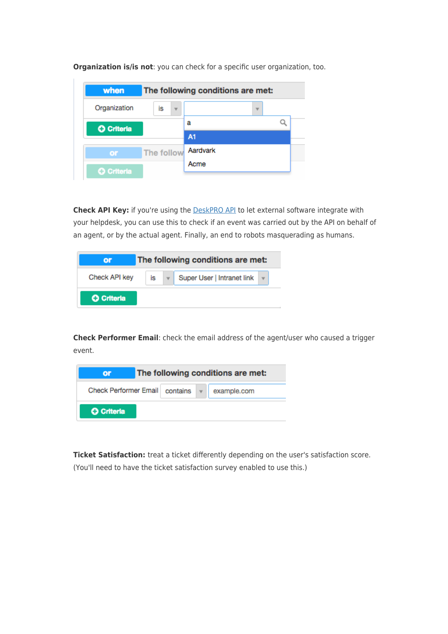| when              |            |                         | The following conditions are met: |  |
|-------------------|------------|-------------------------|-----------------------------------|--|
| Organization      | is         | $\overline{\mathbf{v}}$ |                                   |  |
| <b>O</b> Criteria |            |                         | а                                 |  |
|                   |            |                         | <b>A1</b>                         |  |
| or                | The follow |                         | Aardvark                          |  |
| <b>O</b> Criteria |            |                         | Acme                              |  |

**Organization is/is not**: you can check for a specific user organization, too.

**Check API Key:** if you're using the **DeskPRO API** to let external software integrate with your helpdesk, you can use this to check if an event was carried out by the API on behalf of an agent, or by the actual agent. Finally, an end to robots masquerading as humans.

| or                |    | The following conditions are met: |  |
|-------------------|----|-----------------------------------|--|
| Check API key     | İs | Super User   Intranet link        |  |
| <b>O</b> Criteria |    |                                   |  |

**Check Performer Email**: check the email address of the agent/user who caused a trigger event.

| Ωr                    | The following conditions are met: |          |              |             |
|-----------------------|-----------------------------------|----------|--------------|-------------|
| Check Performer Email |                                   | contains | $\mathbf{v}$ | example.com |
| <b>O</b> Criteria     |                                   |          |              |             |

**Ticket Satisfaction:** treat a ticket differently depending on the user's satisfaction score. (You'll need to have the ticket satisfaction survey enabled to use this.)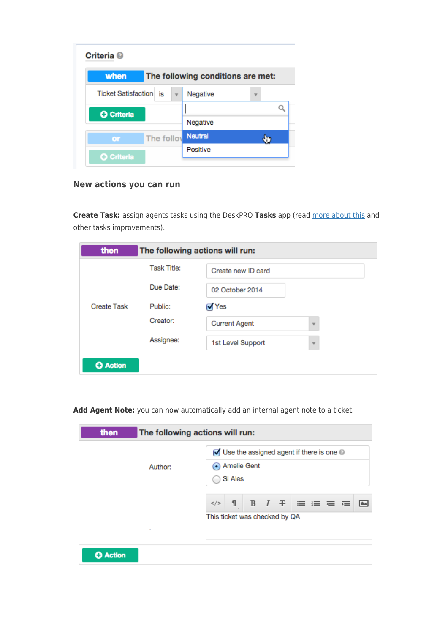| when                   |            |          | The following conditions are met: |  |
|------------------------|------------|----------|-----------------------------------|--|
| Ticket Satisfaction is |            |          | Negative                          |  |
| <b>O</b> Criteria      |            |          |                                   |  |
|                        |            | Negative |                                   |  |
| or                     | The follow |          | <b>Neutral</b>                    |  |
| <b>O</b> Criteria      |            |          | Positive                          |  |

## **New actions you can run**

**Create Task:** assign agents tasks using the DeskPRO **Tasks** app (read [more about this](https://support.deskpro.com/news/view/484) and other tasks improvements).

| then               |                    | The following actions will run:                 |
|--------------------|--------------------|-------------------------------------------------|
|                    | <b>Task Title:</b> | Create new ID card                              |
|                    | Due Date:          | 02 October 2014                                 |
| <b>Create Task</b> | Public:            | √ Yes                                           |
|                    | Creator:           | <b>Current Agent</b><br>$\overline{\mathbf{v}}$ |
|                    | Assignee:          | 1st Level Support<br>v                          |
| <b>O</b> Action    |                    |                                                 |

**Add Agent Note:** you can now automatically add an internal agent note to a ticket.

|         | $\sqrt{ }$ Use the assigned agent if there is one $\circledcirc$     |  |  |  |
|---------|----------------------------------------------------------------------|--|--|--|
| Author: | Amelie Gent                                                          |  |  |  |
|         | Si Ales                                                              |  |  |  |
|         | 1 B $I \oplus \equiv \equiv \equiv \equiv \equiv$<br>2/5<br><b>I</b> |  |  |  |
|         | This ticket was checked by QA                                        |  |  |  |
| ٠       |                                                                      |  |  |  |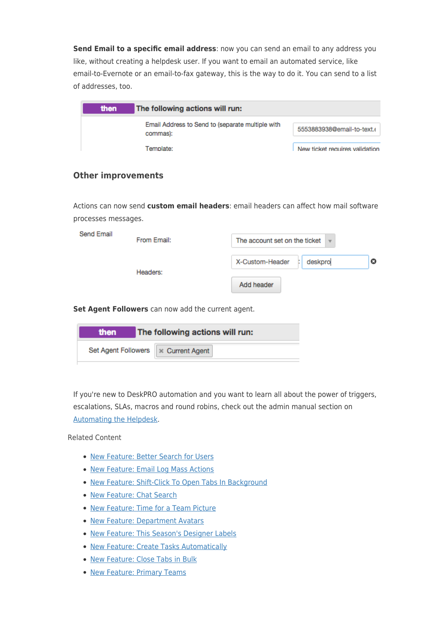**Send Email to a specific email address**: now you can send an email to any address you like, without creating a helpdesk user. If you want to email an automated service, like email-to-Evernote or an email-to-fax gateway, this is the way to do it. You can send to a list of addresses, too.

| then | The following actions will run:                              |                                |
|------|--------------------------------------------------------------|--------------------------------|
|      | Email Address to Send to (separate multiple with<br>commas): | 5553883938@email-to-text.(     |
|      | Template:                                                    | New ticket requires validation |

## **Other improvements**

Actions can now send **custom email headers**: email headers can affect how mail software processes messages.

| X-Custom-Header<br>deskpro | Send Email | From Email: | The account set on the ticket $\vert \mathbf{v} \vert$ |  |
|----------------------------|------------|-------------|--------------------------------------------------------|--|
|                            |            | Headers:    |                                                        |  |

**Set Agent Followers** can now add the current agent.

| then                                  | The following actions will run: |
|---------------------------------------|---------------------------------|
| Set Agent Followers   x Current Agent |                                 |

If you're new to DeskPRO automation and you want to learn all about the power of triggers, escalations, SLAs, macros and round robins, check out the admin manual section on [Automating the Helpdesk](https://www.deskpro.com/manuals/admin-manual/admin-manual.html#automating-the-helpdesk).

Related Content

- [New Feature: Better Search for Users](https://support.deskpro.com/sr/news/posts/new-feature-better-search-for-users)
- [New Feature: Email Log Mass Actions](https://support.deskpro.com/sr/news/posts/new-feature-email-log-mass-actions)
- [New Feature: Shift-Click To Open Tabs In Background](https://support.deskpro.com/sr/news/posts/new-feature-shift-click-to-open-tabs-in-background)
- [New Feature: Chat Search](https://support.deskpro.com/sr/news/posts/new-feature-chat-search)
- [New Feature: Time for a Team Picture](https://support.deskpro.com/sr/news/posts/new-feature-time-for-a-team-picture)
- [New Feature: Department Avatars](https://support.deskpro.com/sr/news/posts/new-feature-department-avatars)
- [New Feature: This Season's Designer Labels](https://support.deskpro.com/sr/news/posts/new-feature-this-season-s-designer-labels)
- [New Feature: Create Tasks Automatically](https://support.deskpro.com/sr/news/posts/new-feature-create-tasks-automatically)
- [New Feature: Close Tabs in Bulk](https://support.deskpro.com/sr/news/posts/new-feature-close-tabs-in-bulk)
- [New Feature: Primary Teams](https://support.deskpro.com/sr/news/posts/new-feature-primary-teams)